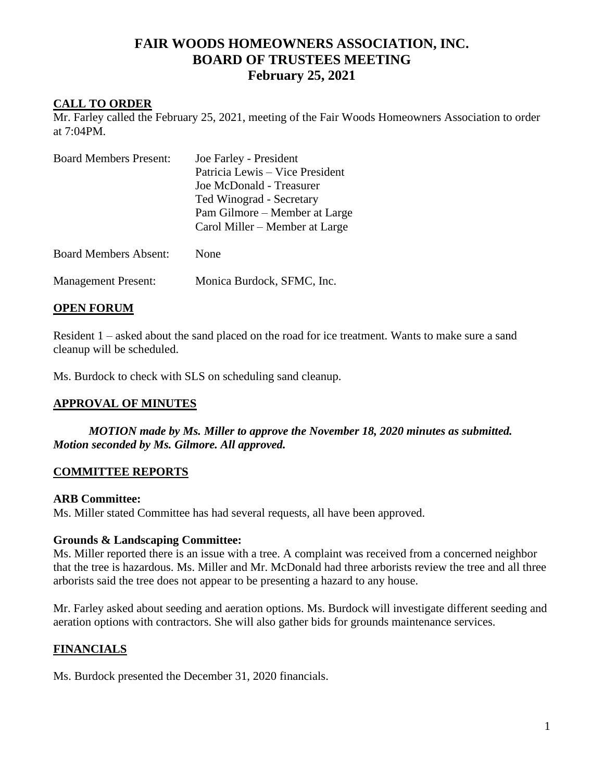# **FAIR WOODS HOMEOWNERS ASSOCIATION, INC. BOARD OF TRUSTEES MEETING February 25, 2021**

### **CALL TO ORDER**

Mr. Farley called the February 25, 2021, meeting of the Fair Woods Homeowners Association to order at 7:04PM.

| <b>Board Members Present:</b> | Joe Farley - President<br>Patricia Lewis – Vice President<br>Joe McDonald - Treasurer<br>Ted Winograd - Secretary<br>Pam Gilmore – Member at Large<br>Carol Miller – Member at Large |
|-------------------------------|--------------------------------------------------------------------------------------------------------------------------------------------------------------------------------------|
| <b>Board Members Absent:</b>  | None                                                                                                                                                                                 |
| <b>Management Present:</b>    | Monica Burdock, SFMC, Inc.                                                                                                                                                           |

### **OPEN FORUM**

Resident 1 – asked about the sand placed on the road for ice treatment. Wants to make sure a sand cleanup will be scheduled.

Ms. Burdock to check with SLS on scheduling sand cleanup.

### **APPROVAL OF MINUTES**

*MOTION made by Ms. Miller to approve the November 18, 2020 minutes as submitted. Motion seconded by Ms. Gilmore. All approved.*

### **COMMITTEE REPORTS**

#### **ARB Committee:**

Ms. Miller stated Committee has had several requests, all have been approved.

### **Grounds & Landscaping Committee:**

Ms. Miller reported there is an issue with a tree. A complaint was received from a concerned neighbor that the tree is hazardous. Ms. Miller and Mr. McDonald had three arborists review the tree and all three arborists said the tree does not appear to be presenting a hazard to any house.

Mr. Farley asked about seeding and aeration options. Ms. Burdock will investigate different seeding and aeration options with contractors. She will also gather bids for grounds maintenance services.

### **FINANCIALS**

Ms. Burdock presented the December 31, 2020 financials.